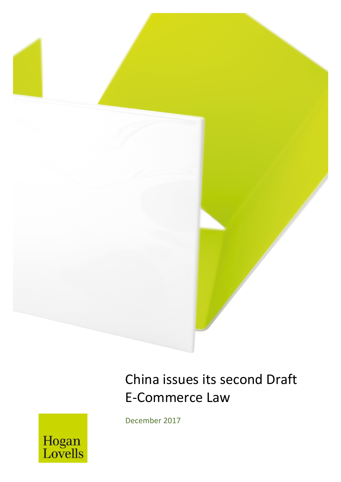

# China issues its second Draft E-Commerce Law

December 2017

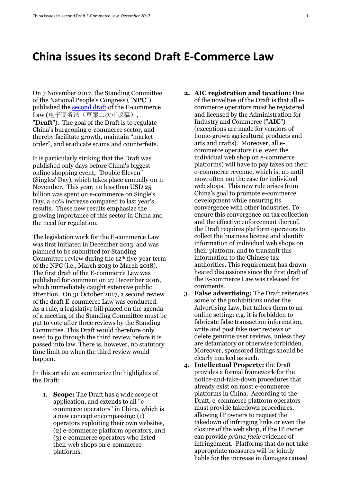## **China issues its second Draft E-Commerce Law**

On 7 November 2017, the Standing Committee of the National People's Congress ("**NPC**") published the [second draft](http://www.npc.gov.cn/npc/lfzt/rlyw/node_31834.htm) of the E-commerce Law (电子商务法(草案二次审议稿), "**Draft**"). The goal of the Draft is to regulate China's burgeoning e-commerce sector, and thereby facilitate growth, maintain "market order", and eradicate scams and counterfeits.

It is particularly striking that the Draft was published only days before China's biggest online shopping event, "Double Eleven" (Singles' Day), which takes place annually on 11 November. This year, no less than USD 25 billion was spent on e-commerce on Single's Day, a 40% increase compared to last year's results. These new results emphasize the growing importance of this sector in China and the need for regulation.

The legislation work for the E-commerce Law was first initiated in December 2013 and was planned to be submitted for Standing Committee review during the  $12<sup>th</sup>$  five-year term of the NPC (i.e., March 2013 to March 2018). The first draft of the E-commerce Law was published for comment on 27 December 2016, which immediately caught extensive public attention. On 31 October 2017, a second review of the draft E-commerce Law was conducted. As a rule, a legislative bill placed on the agenda of a meeting of the Standing Committee must be put to vote after three reviews by the Standing Committee. This Draft would therefore only need to go through the third review before it is passed into law. There is, however, no statutory time limit on when the third review would happen.

In this article we summarize the highlights of the Draft:

1. **Scope:** The Draft has a wide scope of application, and extends to all "ecommerce operators" in China, which is a new concept encompassing: (1) operators exploiting their own websites, (2) e-commerce platform operators, and (3) e-commerce operators who listed their web shops on e-commerce platforms.

- **2. AIC registration and taxation:** One of the novelties of the Draft is that all ecommerce operators must be registered and licensed by the Administration for Industry and Commerce ("**AIC**") (exceptions are made for vendors of home-grown agricultural products and arts and crafts). Moreover, all ecommerce operators (i.e. even the individual web shop on e-commerce platforms) will have to pay taxes on their e-commerce revenue, which is, up until now, often not the case for individual web shops. This new rule arises from China's goal to promote e-commerce development while ensuring its convergence with other industries. To ensure this convergence on tax collection and the effective enforcement thereof, the Draft requires platform operators to collect the business license and identity information of individual web shops on their platform, and to transmit this information to the Chinese tax authorities. This requirement has drawn heated discussions since the first draft of the E-commerce Law was released for comments.
- 3. **False advertising:** The Draft reiterates some of the prohibitions under the Advertising Law, but tailors them to an online setting: e.g. it is forbidden to fabricate false transaction information, write and post fake user reviews or delete genuine user reviews, unless they are defamatory or otherwise forbidden. Moreover, sponsored listings should be clearly marked as such.
- 4. **Intellectual Property:** the Draft provides a formal framework for the notice-and-take-down procedures that already exist on most e-commerce platforms in China. According to the Draft, e-commerce platform operators must provide takedown procedures, allowing IP owners to request the takedown of infringing links or even the closure of the web shop, if the IP owner can provide *prima facie* evidence of infringement. Platforms that do not take appropriate measures will be jointly liable for the increase in damages caused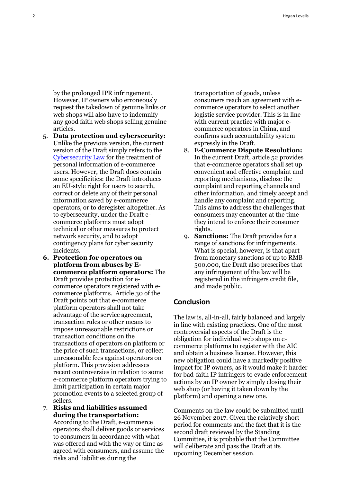by the prolonged IPR infringement. However, IP owners who erroneously request the takedown of genuine links or web shops will also have to indemnify any good faith web shops selling genuine articles.

- 5. **Data protection and cybersecurity:**  Unlike the previous version, the current version of the Draft simply refers to the [Cybersecurity Law](https://www.hoganlovells.com/~/media/hogan-lovells/pdf/publication/2016/beilib0185898v120161110chinapassescontroversialcybersecuritylaw.pdf) for the treatment of personal information of e-commerce users. However, the Draft does contain some specificities: the Draft introduces an EU-style right for users to search, correct or delete any of their personal information saved by e-commerce operators, or to deregister altogether. As to cybersecurity, under the Draft ecommerce platforms must adopt technical or other measures to protect network security, and to adopt contingency plans for cyber security incidents.
- **6. Protection for operators on platform from abuses by Ecommerce platform operators:** The Draft provides protection for ecommerce operators registered with ecommerce platforms. Article 30 of the Draft points out that e-commerce platform operators shall not take advantage of the service agreement, transaction rules or other means to impose unreasonable restrictions or transaction conditions on the transactions of operators on platform or the price of such transactions, or collect unreasonable fees against operators on platform. This provision addresses recent controversies in relation to some e-commerce platform operators trying to limit participation in certain major promotion events to a selected group of sellers.
- 7. **Risks and liabilities assumed during the transportation:** According to the Draft, e-commerce operators shall deliver goods or services

to consumers in accordance with what was offered and with the way or time as agreed with consumers, and assume the risks and liabilities during the

transportation of goods, unless consumers reach an agreement with ecommerce operators to select another logistic service provider. This is in line with current practice with major ecommerce operators in China, and confirms such accountability system expressly in the Draft.

- 8. **E-Commerce Dispute Resolution:**  In the current Draft, article 52 provides that e-commerce operators shall set up convenient and effective complaint and reporting mechanisms, disclose the complaint and reporting channels and other information, and timely accept and handle any complaint and reporting. This aims to address the challenges that consumers may encounter at the time they intend to enforce their consumer rights.
- 9. **Sanctions:** The Draft provides for a range of sanctions for infringements. What is special, however, is that apart from monetary sanctions of up to RMB 500,000, the Draft also prescribes that any infringement of the law will be registered in the infringers credit file, and made public.

#### **Conclusion**

The law is, all-in-all, fairly balanced and largely in line with existing practices. One of the most controversial aspects of the Draft is the obligation for individual web shops on ecommerce platforms to register with the AIC and obtain a business license. However, this new obligation could have a markedly positive impact for IP owners, as it would make it harder for bad-faith IP infringers to evade enforcement actions by an IP owner by simply closing their web shop (or having it taken down by the platform) and opening a new one.

Comments on the law could be submitted until 26 November 2017. Given the relatively short period for comments and the fact that it is the second draft reviewed by the Standing Committee, it is probable that the Committee will deliberate and pass the Draft at its upcoming December session.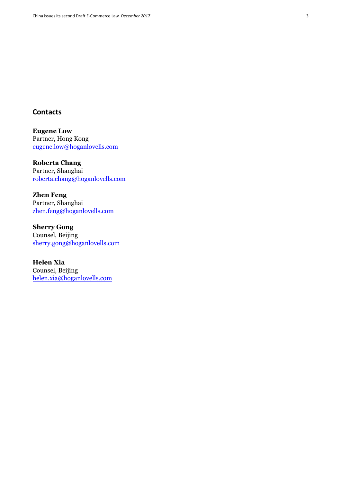#### **Contacts**

**Eugene Low** Partner, Hong Kong [eugene.low@hoganlovells.com](mailto:eugene.low@hoganlovells.com)

**Roberta Chang** Partner, Shanghai [roberta.chang@hoganlovells.com](mailto:roberta.chang@hoganlovells.com)

**Zhen Feng** Partner, Shanghai [zhen.feng@hoganlovells.com](mailto:zhen.feng@hoganlovells.com)

**Sherry Gong** Counsel, Beijing [sherry.gong@hoganlovells.com](mailto:sherry.gong@hoganlovells.com)

**Helen Xia** Counsel, Beijing [helen.xia@hoganlovells.com](mailto:helen.xia@hoganlovells.com)